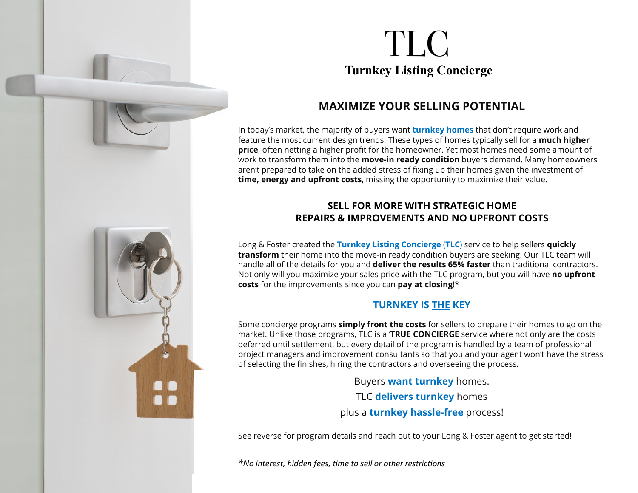

# TLC **Turnkey Listing Concierge**

## **MAXIMIZE YOUR SELLING POTENTIAL**

In today's market, the majority of buyers want **turnkey homes** that don't require work and feature the most current design trends. These types of homes typically sell for a **much higher price**, often netting a higher profit for the homeowner. Yet most homes need some amount of work to transform them into the **move-in ready condition** buyers demand. Many homeowners aren't prepared to take on the added stress of fixing up their homes given the investment of **time, energy and upfront costs**, missing the opportunity to maximize their value.

#### **SELL FOR MORE WITH STRATEGIC HOME REPAIRS & IMPROVEMENTS AND NO UPFRONT COSTS**

Long & Foster created the **Turnkey Listing Concierge** (**TLC**) service to help sellers **quickly transform** their home into the move-in ready condition buyers are seeking. Our TLC team will handle all of the details for you and **deliver the results 65% faster** than traditional contractors. Not only will you maximize your sales price with the TLC program, but you will have **no upfront costs** for the improvements since you can **pay at closing**!\*

### **TURNKEY IS THE KEY**

Some concierge programs **simply front the costs** for sellers to prepare their homes to go on the market. Unlike those programs, TLC is a '**TRUE CONCIERGE** service where not only are the costs deferred until settlement, but every detail of the program is handled by a team of professional project managers and improvement consultants so that you and your agent won't have the stress of selecting the finishes, hiring the contractors and overseeing the process.

> Buyers **want turnkey** homes. TLC **delivers turnkey** homes plus a **turnkey hassle-free** process!

See reverse for program details and reach out to your Long & Foster agent to get started!

*\*No interest, hidden fees, Ɵme to sell or other restric Ɵons*